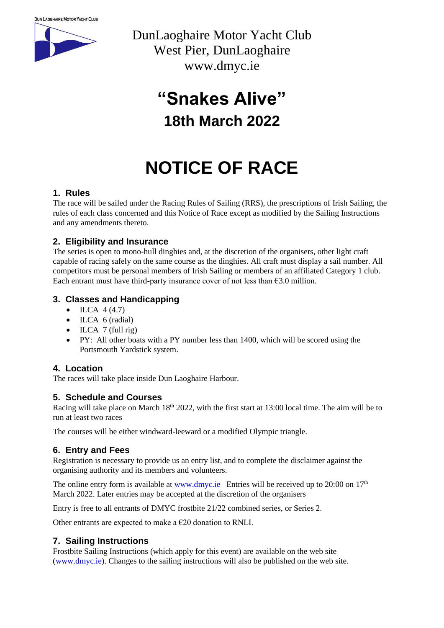

DunLaoghaire Motor Yacht Club West Pier, DunLaoghaire www.dmyc.ie

## **"Snakes Alive" 18th March 2022**

# **NOTICE OF RACE**

#### **1. Rules**

The race will be sailed under the Racing Rules of Sailing (RRS), the prescriptions of Irish Sailing, the rules of each class concerned and this Notice of Race except as modified by the Sailing Instructions and any amendments thereto.

#### **2. Eligibility and Insurance**

The series is open to mono-hull dinghies and, at the discretion of the organisers, other light craft capable of racing safely on the same course as the dinghies. All craft must display a sail number. All competitors must be personal members of Irish Sailing or members of an affiliated Category 1 club. Each entrant must have third-party insurance cover of not less than  $63.0$  million.

#### **3. Classes and Handicapping**

- ILCA  $4(4.7)$
- ILCA 6 (radial)
- ILCA  $7$  (full rig)
- PY: All other boats with a PY number less than 1400, which will be scored using the Portsmouth Yardstick system.

#### **4. Location**

The races will take place inside Dun Laoghaire Harbour.

#### **5. Schedule and Courses**

Racing will take place on March 18<sup>th</sup> 2022, with the first start at 13:00 local time. The aim will be to run at least two races

The courses will be either windward-leeward or a modified Olympic triangle.

#### **6. Entry and Fees**

Registration is necessary to provide us an entry list, and to complete the disclaimer against the organising authority and its members and volunteers.

The online entry form is available at  $\underline{www.dmyc.ie}$  Entries will be received up to 20:00 on  $17<sup>th</sup>$ March 2022. Later entries may be accepted at the discretion of the organisers

Entry is free to all entrants of DMYC frostbite 21/22 combined series, or Series 2.

Other entrants are expected to make a  $\epsilon$ 20 donation to RNLI.

#### **7. Sailing Instructions**

Frostbite Sailing Instructions (which apply for this event) are available on the web site [\(www.dmyc.ie\)](http://www.dmyc.ie/). Changes to the sailing instructions will also be published on the web site.